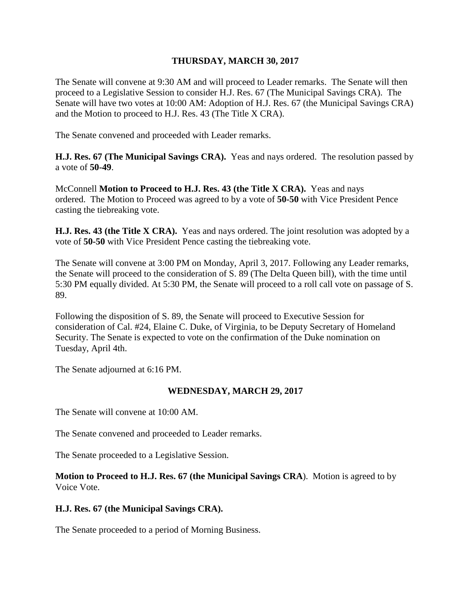#### **THURSDAY, MARCH 30, 2017**

The Senate will convene at 9:30 AM and will proceed to Leader remarks. The Senate will then proceed to a Legislative Session to consider H.J. Res. 67 (The Municipal Savings CRA). The Senate will have two votes at 10:00 AM: Adoption of H.J. Res. 67 (the Municipal Savings CRA) and the Motion to proceed to H.J. Res. 43 (The Title X CRA).

The Senate convened and proceeded with Leader remarks.

**H.J. Res. 67 (The Municipal Savings CRA).** Yeas and nays ordered. The resolution passed by a vote of **50-49**.

McConnell **Motion to Proceed to H.J. Res. 43 (the Title X CRA).** Yeas and nays ordered. The Motion to Proceed was agreed to by a vote of **50-50** with Vice President Pence casting the tiebreaking vote.

**H.J. Res. 43 (the Title X CRA).** Yeas and nays ordered. The joint resolution was adopted by a vote of **50-50** with Vice President Pence casting the tiebreaking vote.

The Senate will convene at 3:00 PM on Monday, April 3, 2017. Following any Leader remarks, the Senate will proceed to the consideration of S. 89 (The Delta Queen bill), with the time until 5:30 PM equally divided. At 5:30 PM, the Senate will proceed to a roll call vote on passage of S. 89.

Following the disposition of S. 89, the Senate will proceed to Executive Session for consideration of Cal. #24, Elaine C. Duke, of Virginia, to be Deputy Secretary of Homeland Security. The Senate is expected to vote on the confirmation of the Duke nomination on Tuesday, April 4th.

The Senate adjourned at 6:16 PM.

## **WEDNESDAY, MARCH 29, 2017**

The Senate will convene at 10:00 AM.

The Senate convened and proceeded to Leader remarks.

The Senate proceeded to a Legislative Session.

**Motion to Proceed to H.J. Res. 67 (the Municipal Savings CRA**). Motion is agreed to by Voice Vote.

#### **H.J. Res. 67 (the Municipal Savings CRA).**

The Senate proceeded to a period of Morning Business.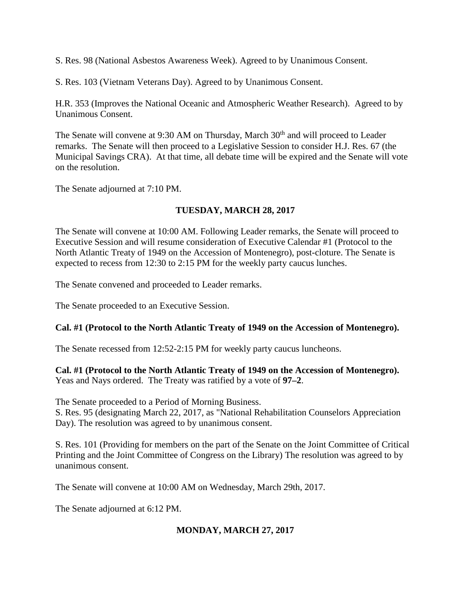S. Res. 98 (National Asbestos Awareness Week). Agreed to by Unanimous Consent.

S. Res. 103 (Vietnam Veterans Day). Agreed to by Unanimous Consent.

H.R. 353 (Improves the National Oceanic and Atmospheric Weather Research). Agreed to by Unanimous Consent.

The Senate will convene at 9:30 AM on Thursday, March 30<sup>th</sup> and will proceed to Leader remarks. The Senate will then proceed to a Legislative Session to consider H.J. Res. 67 (the Municipal Savings CRA). At that time, all debate time will be expired and the Senate will vote on the resolution.

The Senate adjourned at 7:10 PM.

## **TUESDAY, MARCH 28, 2017**

The Senate will convene at 10:00 AM. Following Leader remarks, the Senate will proceed to Executive Session and will resume consideration of Executive Calendar #1 (Protocol to the North Atlantic Treaty of 1949 on the Accession of Montenegro), post-cloture. The Senate is expected to recess from 12:30 to 2:15 PM for the weekly party caucus lunches.

The Senate convened and proceeded to Leader remarks.

The Senate proceeded to an Executive Session.

## **Cal. #1 (Protocol to the North Atlantic Treaty of 1949 on the Accession of Montenegro).**

The Senate recessed from 12:52-2:15 PM for weekly party caucus luncheons.

**Cal. #1 (Protocol to the North Atlantic Treaty of 1949 on the Accession of Montenegro).**  Yeas and Nays ordered. The Treaty was ratified by a vote of **97–2**.

The Senate proceeded to a Period of Morning Business. S. Res. 95 (designating March 22, 2017, as "National Rehabilitation Counselors Appreciation Day). The resolution was agreed to by unanimous consent.

S. Res. 101 (Providing for members on the part of the Senate on the Joint Committee of Critical Printing and the Joint Committee of Congress on the Library) The resolution was agreed to by unanimous consent.

The Senate will convene at 10:00 AM on Wednesday, March 29th, 2017.

The Senate adjourned at 6:12 PM.

## **MONDAY, MARCH 27, 2017**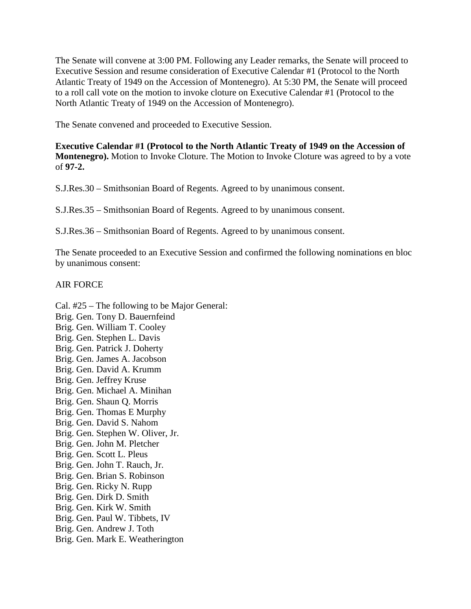The Senate will convene at 3:00 PM. Following any Leader remarks, the Senate will proceed to Executive Session and resume consideration of Executive Calendar #1 (Protocol to the North Atlantic Treaty of 1949 on the Accession of Montenegro). At 5:30 PM, the Senate will proceed to a roll call vote on the motion to invoke cloture on Executive Calendar #1 (Protocol to the North Atlantic Treaty of 1949 on the Accession of Montenegro).

The Senate convened and proceeded to Executive Session.

#### **Executive Calendar #1 (Protocol to the North Atlantic Treaty of 1949 on the Accession of Montenegro).** Motion to Invoke Cloture. The Motion to Invoke Cloture was agreed to by a vote of **97-2.**

S.J.Res.30 – Smithsonian Board of Regents. Agreed to by unanimous consent.

S.J.Res.35 – Smithsonian Board of Regents. Agreed to by unanimous consent.

S.J.Res.36 – Smithsonian Board of Regents. Agreed to by unanimous consent.

The Senate proceeded to an Executive Session and confirmed the following nominations en bloc by unanimous consent:

AIR FORCE

- Cal. #25 The following to be Major General: Brig. Gen. Tony D. Bauernfeind Brig. Gen. William T. Cooley Brig. Gen. Stephen L. Davis Brig. Gen. Patrick J. Doherty Brig. Gen. James A. Jacobson Brig. Gen. David A. Krumm Brig. Gen. Jeffrey Kruse Brig. Gen. Michael A. Minihan Brig. Gen. Shaun Q. Morris Brig. Gen. Thomas E Murphy Brig. Gen. David S. Nahom Brig. Gen. Stephen W. Oliver, Jr. Brig. Gen. John M. Pletcher Brig. Gen. Scott L. Pleus Brig. Gen. John T. Rauch, Jr. Brig. Gen. Brian S. Robinson Brig. Gen. Ricky N. Rupp Brig. Gen. Dirk D. Smith Brig. Gen. Kirk W. Smith Brig. Gen. Paul W. Tibbets, IV Brig. Gen. Andrew J. Toth
- Brig. Gen. Mark E. Weatherington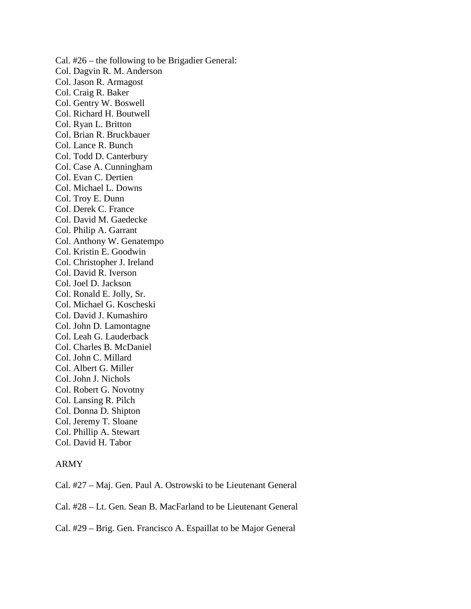Cal. #26 – the following to be Brigadier General: Col. Dagvin R. M. Anderson Col. Jason R. Armagost Col. Craig R. Baker Col. Gentry W. Boswell Col. Richard H. Boutwell Col. Ryan L. Britton Col. Brian R. Bruckbauer Col. Lance R. Bunch Col. Todd D. Canterbury Col. Case A. Cunningham Col. Evan C. Dertien Col. Michael L. Downs Col. Troy E. Dunn Col. Derek C. France Col. David M. Gaedecke Col. Philip A. Garrant Col. Anthony W. Genatempo Col. Kristin E. Goodwin Col. Christopher J. Ireland Col. David R. Iverson Col. Joel D. Jackson Col. Ronald E. Jolly, Sr. Col. Michael G. Koscheski Col. David J. Kumashiro Col. John D. Lamontagne Col. Leah G. Lauderback Col. Charles B. McDaniel Col. John C. Millard Col. Albert G. Miller Col. John J. Nichols Col. Robert G. Novotny Col. Lansing R. Pilch Col. Donna D. Shipton Col. Jeremy T. Sloane Col. Phillip A. Stewart Col. David H. Tabor

#### ARMY

Cal. #27 – Maj. Gen. Paul A. Ostrowski to be Lieutenant General

Cal. #28 – Lt. Gen. Sean B. MacFarland to be Lieutenant General

Cal. #29 – Brig. Gen. Francisco A. Espaillat to be Major General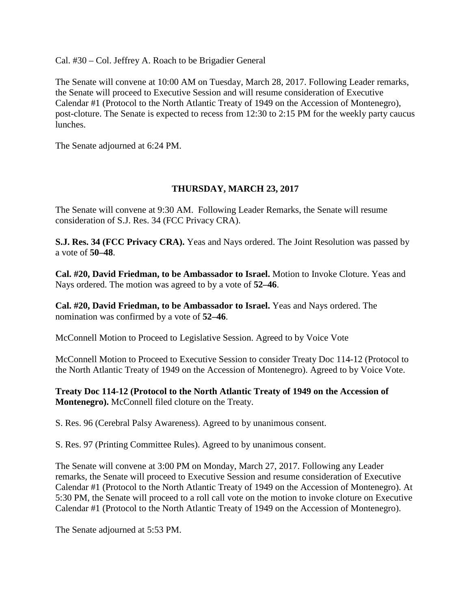Cal. #30 – Col. Jeffrey A. Roach to be Brigadier General

The Senate will convene at 10:00 AM on Tuesday, March 28, 2017. Following Leader remarks, the Senate will proceed to Executive Session and will resume consideration of Executive Calendar #1 (Protocol to the North Atlantic Treaty of 1949 on the Accession of Montenegro), post-cloture. The Senate is expected to recess from 12:30 to 2:15 PM for the weekly party caucus lunches.

The Senate adjourned at 6:24 PM.

## **THURSDAY, MARCH 23, 2017**

The Senate will convene at 9:30 AM. Following Leader Remarks, the Senate will resume consideration of S.J. Res. 34 (FCC Privacy CRA).

**S.J. Res. 34 (FCC Privacy CRA).** Yeas and Nays ordered. The Joint Resolution was passed by a vote of **50–48**.

**Cal. #20, David Friedman, to be Ambassador to Israel.** Motion to Invoke Cloture. Yeas and Nays ordered. The motion was agreed to by a vote of **52–46**.

**Cal. #20, David Friedman, to be Ambassador to Israel.** Yeas and Nays ordered. The nomination was confirmed by a vote of **52–46**.

McConnell Motion to Proceed to Legislative Session. Agreed to by Voice Vote

McConnell Motion to Proceed to Executive Session to consider Treaty Doc 114-12 (Protocol to the North Atlantic Treaty of 1949 on the Accession of Montenegro). Agreed to by Voice Vote.

**Treaty Doc 114-12 (Protocol to the North Atlantic Treaty of 1949 on the Accession of Montenegro).** McConnell filed cloture on the Treaty.

S. Res. 96 (Cerebral Palsy Awareness). Agreed to by unanimous consent.

S. Res. 97 (Printing Committee Rules). Agreed to by unanimous consent.

The Senate will convene at 3:00 PM on Monday, March 27, 2017. Following any Leader remarks, the Senate will proceed to Executive Session and resume consideration of Executive Calendar #1 (Protocol to the North Atlantic Treaty of 1949 on the Accession of Montenegro). At 5:30 PM, the Senate will proceed to a roll call vote on the motion to invoke cloture on Executive Calendar #1 (Protocol to the North Atlantic Treaty of 1949 on the Accession of Montenegro).

The Senate adjourned at 5:53 PM.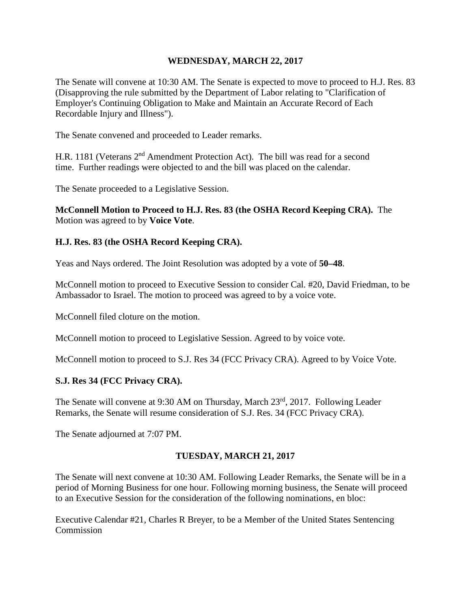#### **WEDNESDAY, MARCH 22, 2017**

The Senate will convene at 10:30 AM. The Senate is expected to move to proceed to H.J. Res. 83 (Disapproving the rule submitted by the Department of Labor relating to "Clarification of Employer's Continuing Obligation to Make and Maintain an Accurate Record of Each Recordable Injury and Illness").

The Senate convened and proceeded to Leader remarks.

H.R. 1181 (Veterans 2<sup>nd</sup> Amendment Protection Act). The bill was read for a second time. Further readings were objected to and the bill was placed on the calendar.

The Senate proceeded to a Legislative Session.

**McConnell Motion to Proceed to H.J. Res. 83 (the OSHA Record Keeping CRA).** The Motion was agreed to by **Voice Vote**.

#### **H.J. Res. 83 (the OSHA Record Keeping CRA).**

Yeas and Nays ordered. The Joint Resolution was adopted by a vote of **50–48**.

McConnell motion to proceed to Executive Session to consider Cal. #20, David Friedman, to be Ambassador to Israel. The motion to proceed was agreed to by a voice vote.

McConnell filed cloture on the motion.

McConnell motion to proceed to Legislative Session. Agreed to by voice vote.

McConnell motion to proceed to S.J. Res 34 (FCC Privacy CRA). Agreed to by Voice Vote.

## **S.J. Res 34 (FCC Privacy CRA).**

The Senate will convene at 9:30 AM on Thursday, March 23<sup>rd</sup>, 2017. Following Leader Remarks, the Senate will resume consideration of S.J. Res. 34 (FCC Privacy CRA).

The Senate adjourned at 7:07 PM.

## **TUESDAY, MARCH 21, 2017**

The Senate will next convene at 10:30 AM. Following Leader Remarks, the Senate will be in a period of Morning Business for one hour. Following morning business, the Senate will proceed to an Executive Session for the consideration of the following nominations, en bloc:

Executive Calendar #21, Charles R Breyer, to be a Member of the United States Sentencing Commission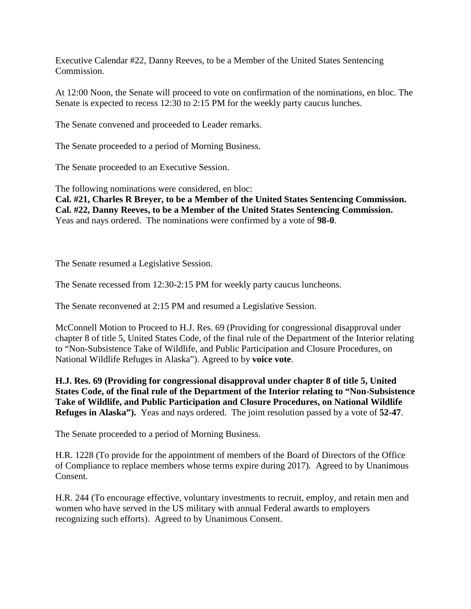Executive Calendar #22, Danny Reeves, to be a Member of the United States Sentencing Commission.

At 12:00 Noon, the Senate will proceed to vote on confirmation of the nominations, en bloc. The Senate is expected to recess 12:30 to 2:15 PM for the weekly party caucus lunches.

The Senate convened and proceeded to Leader remarks.

The Senate proceeded to a period of Morning Business.

The Senate proceeded to an Executive Session.

The following nominations were considered, en bloc:

**Cal. #21, Charles R Breyer, to be a Member of the United States Sentencing Commission. Cal. #22, Danny Reeves, to be a Member of the United States Sentencing Commission.** Yeas and nays ordered. The nominations were confirmed by a vote of **98-0**.

The Senate resumed a Legislative Session.

The Senate recessed from 12:30-2:15 PM for weekly party caucus luncheons.

The Senate reconvened at 2:15 PM and resumed a Legislative Session.

McConnell Motion to Proceed to H.J. Res. 69 (Providing for congressional disapproval under chapter 8 of title 5, United States Code, of the final rule of the Department of the Interior relating to "Non-Subsistence Take of Wildlife, and Public Participation and Closure Procedures, on National Wildlife Refuges in Alaska"). Agreed to by **voice vote**.

**H.J. Res. 69 (Providing for congressional disapproval under chapter 8 of title 5, United States Code, of the final rule of the Department of the Interior relating to "Non-Subsistence Take of Wildlife, and Public Participation and Closure Procedures, on National Wildlife Refuges in Alaska").** Yeas and nays ordered. The joint resolution passed by a vote of **52-47**.

The Senate proceeded to a period of Morning Business.

H.R. 1228 (To provide for the appointment of members of the Board of Directors of the Office of Compliance to replace members whose terms expire during 2017). Agreed to by Unanimous Consent.

H.R. 244 (To encourage effective, voluntary investments to recruit, employ, and retain men and women who have served in the US military with annual Federal awards to employers recognizing such efforts). Agreed to by Unanimous Consent.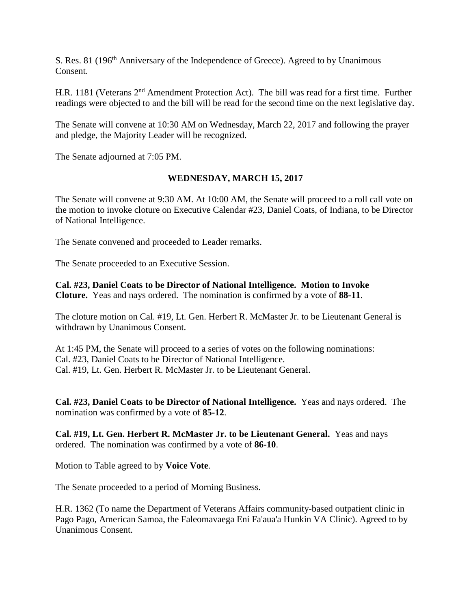S. Res. 81 (196<sup>th</sup> Anniversary of the Independence of Greece). Agreed to by Unanimous Consent.

H.R. 1181 (Veterans 2<sup>nd</sup> Amendment Protection Act). The bill was read for a first time. Further readings were objected to and the bill will be read for the second time on the next legislative day.

The Senate will convene at 10:30 AM on Wednesday, March 22, 2017 and following the prayer and pledge, the Majority Leader will be recognized.

The Senate adjourned at 7:05 PM.

## **WEDNESDAY, MARCH 15, 2017**

The Senate will convene at 9:30 AM. At 10:00 AM, the Senate will proceed to a roll call vote on the motion to invoke cloture on Executive Calendar #23, Daniel Coats, of Indiana, to be Director of National Intelligence.

The Senate convened and proceeded to Leader remarks.

The Senate proceeded to an Executive Session.

**Cal. #23, Daniel Coats to be Director of National Intelligence. Motion to Invoke Cloture.** Yeas and nays ordered. The nomination is confirmed by a vote of **88-11**.

The cloture motion on Cal. #19, Lt. Gen. Herbert R. McMaster Jr. to be Lieutenant General is withdrawn by Unanimous Consent.

At 1:45 PM, the Senate will proceed to a series of votes on the following nominations: Cal. #23, Daniel Coats to be Director of National Intelligence. Cal. #19, Lt. Gen. Herbert R. McMaster Jr. to be Lieutenant General.

**Cal. #23, Daniel Coats to be Director of National Intelligence.** Yeas and nays ordered. The nomination was confirmed by a vote of **85-12**.

**Cal. #19, Lt. Gen. Herbert R. McMaster Jr. to be Lieutenant General.** Yeas and nays ordered. The nomination was confirmed by a vote of **86-10**.

Motion to Table agreed to by **Voice Vote**.

The Senate proceeded to a period of Morning Business.

H.R. 1362 (To name the Department of Veterans Affairs community-based outpatient clinic in Pago Pago, American Samoa, the Faleomavaega Eni Fa'aua'a Hunkin VA Clinic). Agreed to by Unanimous Consent.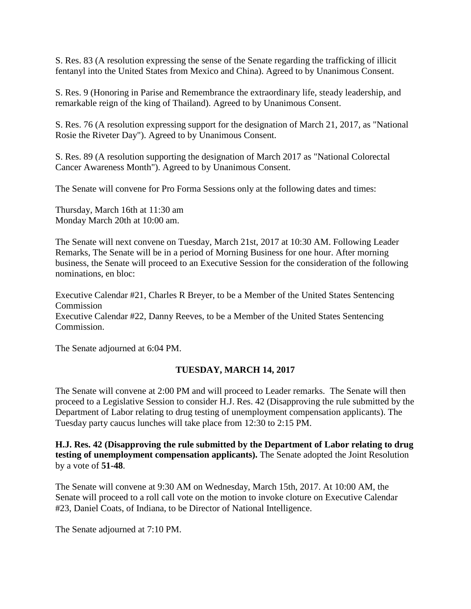S. Res. 83 (A resolution expressing the sense of the Senate regarding the trafficking of illicit fentanyl into the United States from Mexico and China). Agreed to by Unanimous Consent.

S. Res. 9 (Honoring in Parise and Remembrance the extraordinary life, steady leadership, and remarkable reign of the king of Thailand). Agreed to by Unanimous Consent.

S. Res. 76 (A resolution expressing support for the designation of March 21, 2017, as "National Rosie the Riveter Day"). Agreed to by Unanimous Consent.

S. Res. 89 (A resolution supporting the designation of March 2017 as "National Colorectal Cancer Awareness Month"). Agreed to by Unanimous Consent.

The Senate will convene for Pro Forma Sessions only at the following dates and times:

Thursday, March 16th at 11:30 am Monday March 20th at 10:00 am.

The Senate will next convene on Tuesday, March 21st, 2017 at 10:30 AM. Following Leader Remarks, The Senate will be in a period of Morning Business for one hour. After morning business, the Senate will proceed to an Executive Session for the consideration of the following nominations, en bloc:

Executive Calendar #21, Charles R Breyer, to be a Member of the United States Sentencing Commission Executive Calendar #22, Danny Reeves, to be a Member of the United States Sentencing Commission.

The Senate adjourned at 6:04 PM.

## **TUESDAY, MARCH 14, 2017**

The Senate will convene at 2:00 PM and will proceed to Leader remarks. The Senate will then proceed to a Legislative Session to consider H.J. Res. 42 (Disapproving the rule submitted by the Department of Labor relating to drug testing of unemployment compensation applicants). The Tuesday party caucus lunches will take place from 12:30 to 2:15 PM.

**H.J. Res. 42 (Disapproving the rule submitted by the Department of Labor relating to drug testing of unemployment compensation applicants).** The Senate adopted the Joint Resolution by a vote of **51-48**.

The Senate will convene at 9:30 AM on Wednesday, March 15th, 2017. At 10:00 AM, the Senate will proceed to a roll call vote on the motion to invoke cloture on Executive Calendar #23, Daniel Coats, of Indiana, to be Director of National Intelligence.

The Senate adjourned at 7:10 PM.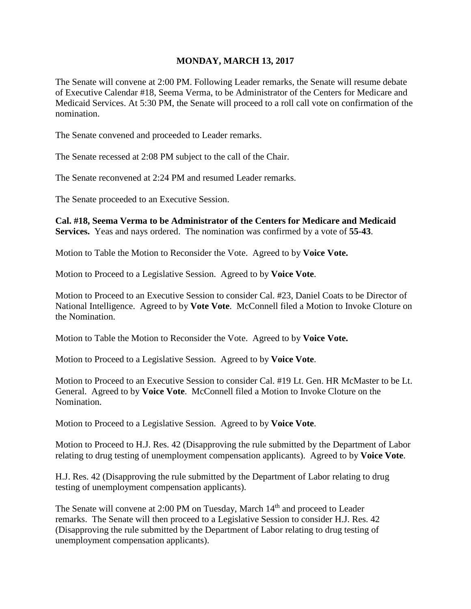#### **MONDAY, MARCH 13, 2017**

The Senate will convene at 2:00 PM. Following Leader remarks, the Senate will resume debate of Executive Calendar #18, Seema Verma, to be Administrator of the Centers for Medicare and Medicaid Services. At 5:30 PM, the Senate will proceed to a roll call vote on confirmation of the nomination.

The Senate convened and proceeded to Leader remarks.

The Senate recessed at 2:08 PM subject to the call of the Chair.

The Senate reconvened at 2:24 PM and resumed Leader remarks.

The Senate proceeded to an Executive Session.

**Cal. #18, Seema Verma to be Administrator of the Centers for Medicare and Medicaid Services.** Yeas and nays ordered. The nomination was confirmed by a vote of **55-43**.

Motion to Table the Motion to Reconsider the Vote. Agreed to by **Voice Vote.**

Motion to Proceed to a Legislative Session. Agreed to by **Voice Vote**.

Motion to Proceed to an Executive Session to consider Cal. #23, Daniel Coats to be Director of National Intelligence. Agreed to by **Vote Vote**. McConnell filed a Motion to Invoke Cloture on the Nomination.

Motion to Table the Motion to Reconsider the Vote. Agreed to by **Voice Vote.**

Motion to Proceed to a Legislative Session. Agreed to by **Voice Vote**.

Motion to Proceed to an Executive Session to consider Cal. #19 Lt. Gen. HR McMaster to be Lt. General. Agreed to by **Voice Vote**. McConnell filed a Motion to Invoke Cloture on the Nomination.

Motion to Proceed to a Legislative Session. Agreed to by **Voice Vote**.

Motion to Proceed to H.J. Res. 42 (Disapproving the rule submitted by the Department of Labor relating to drug testing of unemployment compensation applicants). Agreed to by **Voice Vote**.

H.J. Res. 42 (Disapproving the rule submitted by the Department of Labor relating to drug testing of unemployment compensation applicants).

The Senate will convene at 2:00 PM on Tuesday, March 14<sup>th</sup> and proceed to Leader remarks. The Senate will then proceed to a Legislative Session to consider H.J. Res. 42 (Disapproving the rule submitted by the Department of Labor relating to drug testing of unemployment compensation applicants).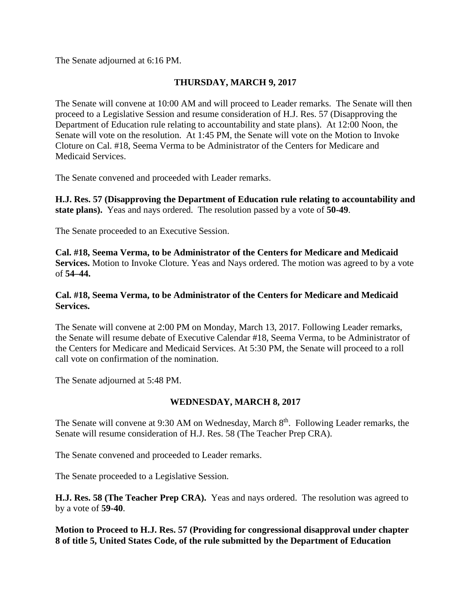The Senate adjourned at 6:16 PM.

# **THURSDAY, MARCH 9, 2017**

The Senate will convene at 10:00 AM and will proceed to Leader remarks. The Senate will then proceed to a Legislative Session and resume consideration of H.J. Res. 57 (Disapproving the Department of Education rule relating to accountability and state plans). At 12:00 Noon, the Senate will vote on the resolution. At 1:45 PM, the Senate will vote on the Motion to Invoke Cloture on Cal. #18, Seema Verma to be Administrator of the Centers for Medicare and Medicaid Services.

The Senate convened and proceeded with Leader remarks.

**H.J. Res. 57 (Disapproving the Department of Education rule relating to accountability and state plans).** Yeas and nays ordered. The resolution passed by a vote of **50-49**.

The Senate proceeded to an Executive Session.

**Cal. #18, Seema Verma, to be Administrator of the Centers for Medicare and Medicaid Services.** Motion to Invoke Cloture. Yeas and Nays ordered. The motion was agreed to by a vote of **54–44.**

#### **Cal. #18, Seema Verma, to be Administrator of the Centers for Medicare and Medicaid Services.**

The Senate will convene at 2:00 PM on Monday, March 13, 2017. Following Leader remarks, the Senate will resume debate of Executive Calendar #18, Seema Verma, to be Administrator of the Centers for Medicare and Medicaid Services. At 5:30 PM, the Senate will proceed to a roll call vote on confirmation of the nomination.

The Senate adjourned at 5:48 PM.

## **WEDNESDAY, MARCH 8, 2017**

The Senate will convene at 9:30 AM on Wednesday, March 8<sup>th</sup>. Following Leader remarks, the Senate will resume consideration of H.J. Res. 58 (The Teacher Prep CRA).

The Senate convened and proceeded to Leader remarks.

The Senate proceeded to a Legislative Session.

**H.J. Res. 58 (The Teacher Prep CRA).** Yeas and nays ordered. The resolution was agreed to by a vote of **59-40**.

**Motion to Proceed to H.J. Res. 57 (Providing for congressional disapproval under chapter 8 of title 5, United States Code, of the rule submitted by the Department of Education**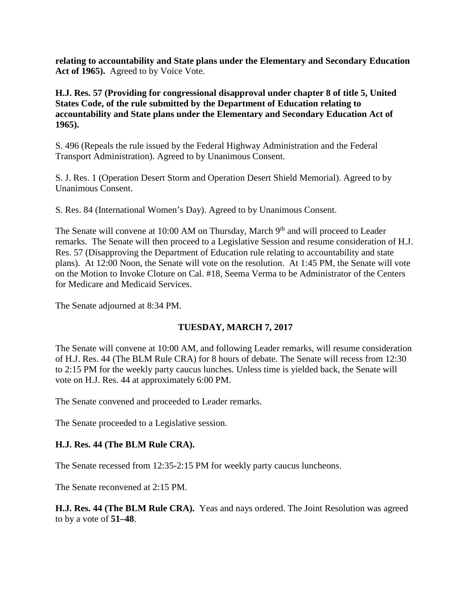**relating to accountability and State plans under the Elementary and Secondary Education Act of 1965).** Agreed to by Voice Vote.

**H.J. Res. 57 (Providing for congressional disapproval under chapter 8 of title 5, United States Code, of the rule submitted by the Department of Education relating to accountability and State plans under the Elementary and Secondary Education Act of 1965).**

S. 496 (Repeals the rule issued by the Federal Highway Administration and the Federal Transport Administration). Agreed to by Unanimous Consent.

S. J. Res. 1 (Operation Desert Storm and Operation Desert Shield Memorial). Agreed to by Unanimous Consent.

S. Res. 84 (International Women's Day). Agreed to by Unanimous Consent.

The Senate will convene at 10:00 AM on Thursday, March  $9<sup>th</sup>$  and will proceed to Leader remarks. The Senate will then proceed to a Legislative Session and resume consideration of H.J. Res. 57 (Disapproving the Department of Education rule relating to accountability and state plans). At 12:00 Noon, the Senate will vote on the resolution. At 1:45 PM, the Senate will vote on the Motion to Invoke Cloture on Cal. #18, Seema Verma to be Administrator of the Centers for Medicare and Medicaid Services.

The Senate adjourned at 8:34 PM.

## **TUESDAY, MARCH 7, 2017**

The Senate will convene at 10:00 AM, and following Leader remarks, will resume consideration of H.J. Res. 44 (The BLM Rule CRA) for 8 hours of debate. The Senate will recess from 12:30 to 2:15 PM for the weekly party caucus lunches. Unless time is yielded back, the Senate will vote on H.J. Res. 44 at approximately 6:00 PM.

The Senate convened and proceeded to Leader remarks.

The Senate proceeded to a Legislative session.

## **H.J. Res. 44 (The BLM Rule CRA).**

The Senate recessed from 12:35-2:15 PM for weekly party caucus luncheons.

The Senate reconvened at 2:15 PM.

**H.J. Res. 44 (The BLM Rule CRA).** Yeas and nays ordered. The Joint Resolution was agreed to by a vote of **51–48**.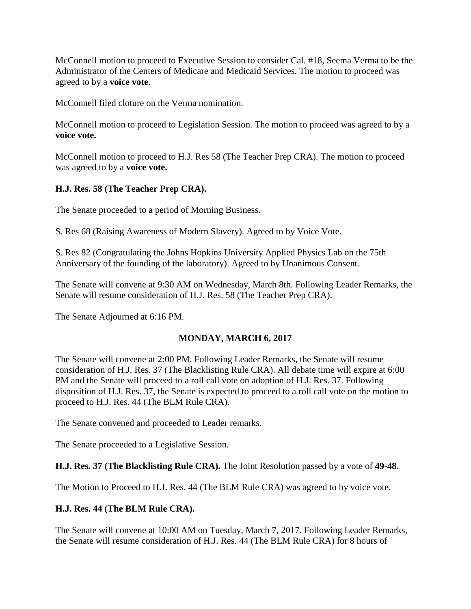McConnell motion to proceed to Executive Session to consider Cal. #18, Seema Verma to be the Administrator of the Centers of Medicare and Medicaid Services. The motion to proceed was agreed to by a **voice vote**.

McConnell filed cloture on the Verma nomination.

McConnell motion to proceed to Legislation Session. The motion to proceed was agreed to by a **voice vote.**

McConnell motion to proceed to H.J. Res 58 (The Teacher Prep CRA). The motion to proceed was agreed to by a **voice vote.**

# **H.J. Res. 58 (The Teacher Prep CRA).**

The Senate proceeded to a period of Morning Business.

S. Res 68 (Raising Awareness of Modern Slavery). Agreed to by Voice Vote.

S. Res 82 (Congratulating the Johns Hopkins University Applied Physics Lab on the 75th Anniversary of the founding of the laboratory). Agreed to by Unanimous Consent.

The Senate will convene at 9:30 AM on Wednesday, March 8th. Following Leader Remarks, the Senate will resume consideration of H.J. Res. 58 (The Teacher Prep CRA).

The Senate Adjourned at 6:16 PM.

## **MONDAY, MARCH 6, 2017**

The Senate will convene at 2:00 PM. Following Leader Remarks, the Senate will resume consideration of H.J. Res. 37 (The Blacklisting Rule CRA). All debate time will expire at 6:00 PM and the Senate will proceed to a roll call vote on adoption of H.J. Res. 37. Following disposition of H.J. Res. 37, the Senate is expected to proceed to a roll call vote on the motion to proceed to H.J. Res. 44 (The BLM Rule CRA).

The Senate convened and proceeded to Leader remarks.

The Senate proceeded to a Legislative Session.

**H.J. Res. 37 (The Blacklisting Rule CRA).** The Joint Resolution passed by a vote of **49-48.**

The Motion to Proceed to H.J. Res. 44 (The BLM Rule CRA) was agreed to by voice vote.

## **H.J. Res. 44 (The BLM Rule CRA).**

The Senate will convene at 10:00 AM on Tuesday, March 7, 2017. Following Leader Remarks, the Senate will resume consideration of H.J. Res. 44 (The BLM Rule CRA) for 8 hours of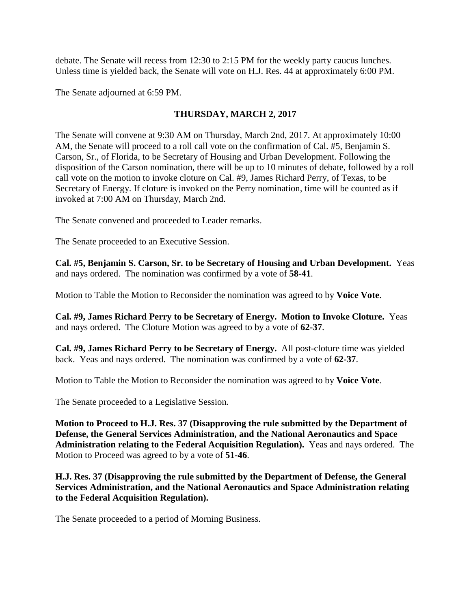debate. The Senate will recess from 12:30 to 2:15 PM for the weekly party caucus lunches. Unless time is yielded back, the Senate will vote on H.J. Res. 44 at approximately 6:00 PM.

The Senate adjourned at 6:59 PM.

# **THURSDAY, MARCH 2, 2017**

The Senate will convene at 9:30 AM on Thursday, March 2nd, 2017. At approximately 10:00 AM, the Senate will proceed to a roll call vote on the confirmation of Cal. #5, Benjamin S. Carson, Sr., of Florida, to be Secretary of Housing and Urban Development. Following the disposition of the Carson nomination, there will be up to 10 minutes of debate, followed by a roll call vote on the motion to invoke cloture on Cal. #9, James Richard Perry, of Texas, to be Secretary of Energy. If cloture is invoked on the Perry nomination, time will be counted as if invoked at 7:00 AM on Thursday, March 2nd.

The Senate convened and proceeded to Leader remarks.

The Senate proceeded to an Executive Session.

**Cal. #5, Benjamin S. Carson, Sr. to be Secretary of Housing and Urban Development.** Yeas and nays ordered. The nomination was confirmed by a vote of **58-41**.

Motion to Table the Motion to Reconsider the nomination was agreed to by **Voice Vote**.

**Cal. #9, James Richard Perry to be Secretary of Energy. Motion to Invoke Cloture.** Yeas and nays ordered. The Cloture Motion was agreed to by a vote of **62-37**.

**Cal. #9, James Richard Perry to be Secretary of Energy.** All post-cloture time was yielded back. Yeas and nays ordered. The nomination was confirmed by a vote of **62-37**.

Motion to Table the Motion to Reconsider the nomination was agreed to by **Voice Vote**.

The Senate proceeded to a Legislative Session.

**Motion to Proceed to H.J. Res. 37 (Disapproving the rule submitted by the Department of Defense, the General Services Administration, and the National Aeronautics and Space Administration relating to the Federal Acquisition Regulation).** Yeas and nays ordered. The Motion to Proceed was agreed to by a vote of **51-46**.

**H.J. Res. 37 (Disapproving the rule submitted by the Department of Defense, the General Services Administration, and the National Aeronautics and Space Administration relating to the Federal Acquisition Regulation).**

The Senate proceeded to a period of Morning Business.